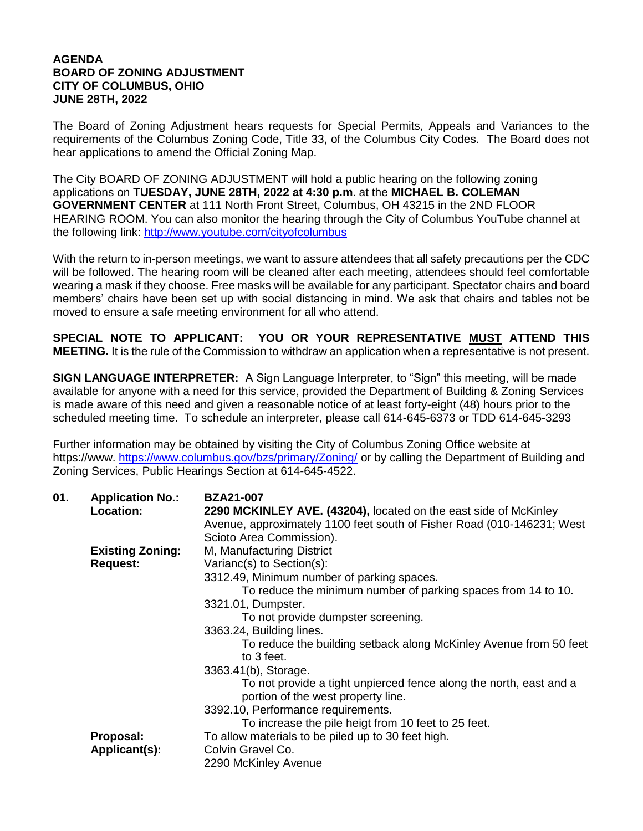## **AGENDA BOARD OF ZONING ADJUSTMENT CITY OF COLUMBUS, OHIO JUNE 28TH, 2022**

The Board of Zoning Adjustment hears requests for Special Permits, Appeals and Variances to the requirements of the Columbus Zoning Code, Title 33, of the Columbus City Codes. The Board does not hear applications to amend the Official Zoning Map.

The City BOARD OF ZONING ADJUSTMENT will hold a public hearing on the following zoning applications on **TUESDAY, JUNE 28TH, 2022 at 4:30 p.m**. at the **MICHAEL B. COLEMAN GOVERNMENT CENTER** at 111 North Front Street, Columbus, OH 43215 in the 2ND FLOOR HEARING ROOM. You can also monitor the hearing through the City of Columbus YouTube channel at the following link:<http://www.youtube.com/cityofcolumbus>

With the return to in-person meetings, we want to assure attendees that all safety precautions per the CDC will be followed. The hearing room will be cleaned after each meeting, attendees should feel comfortable wearing a mask if they choose. Free masks will be available for any participant. Spectator chairs and board members' chairs have been set up with social distancing in mind. We ask that chairs and tables not be moved to ensure a safe meeting environment for all who attend.

**SPECIAL NOTE TO APPLICANT: YOU OR YOUR REPRESENTATIVE MUST ATTEND THIS MEETING.** It is the rule of the Commission to withdraw an application when a representative is not present.

**SIGN LANGUAGE INTERPRETER:** A Sign Language Interpreter, to "Sign" this meeting, will be made available for anyone with a need for this service, provided the Department of Building & Zoning Services is made aware of this need and given a reasonable notice of at least forty-eight (48) hours prior to the scheduled meeting time. To schedule an interpreter, please call 614-645-6373 or TDD 614-645-3293

Further information may be obtained by visiting the City of Columbus Zoning Office website at https://www. <https://www.columbus.gov/bzs/primary/Zoning/> or by calling the Department of Building and Zoning Services, Public Hearings Section at 614-645-4522.

| 01. | <b>Application No.:</b> | <b>BZA21-007</b>                                                       |
|-----|-------------------------|------------------------------------------------------------------------|
|     | Location:               | 2290 MCKINLEY AVE. (43204), located on the east side of McKinley       |
|     |                         | Avenue, approximately 1100 feet south of Fisher Road (010-146231; West |
|     |                         | Scioto Area Commission).                                               |
|     | <b>Existing Zoning:</b> | M, Manufacturing District                                              |
|     | <b>Request:</b>         | Varianc(s) to Section(s):                                              |
|     |                         | 3312.49, Minimum number of parking spaces.                             |
|     |                         | To reduce the minimum number of parking spaces from 14 to 10.          |
|     |                         | 3321.01, Dumpster.                                                     |
|     |                         | To not provide dumpster screening.                                     |
|     |                         | 3363.24, Building lines.                                               |
|     |                         | To reduce the building setback along McKinley Avenue from 50 feet      |
|     |                         | to 3 feet.                                                             |
|     |                         | 3363.41(b), Storage.                                                   |
|     |                         | To not provide a tight unpierced fence along the north, east and a     |
|     |                         | portion of the west property line.                                     |
|     |                         | 3392.10, Performance requirements.                                     |
|     |                         | To increase the pile heigt from 10 feet to 25 feet.                    |
|     | Proposal:               | To allow materials to be piled up to 30 feet high.                     |
|     | Applicant(s):           | Colvin Gravel Co.                                                      |
|     |                         | 2290 McKinley Avenue                                                   |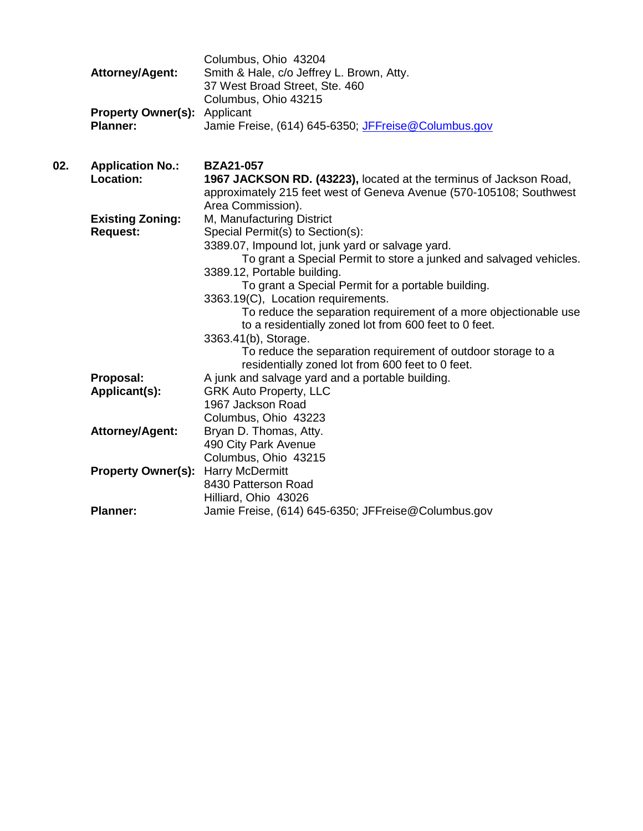| <b>Attorney/Agent:</b>              | Columbus, Ohio 43204<br>Smith & Hale, c/o Jeffrey L. Brown, Atty.<br>37 West Broad Street, Ste. 460 |
|-------------------------------------|-----------------------------------------------------------------------------------------------------|
| <b>Property Owner(s):</b> Applicant | Columbus, Ohio 43215                                                                                |
| <b>Planner:</b>                     | Jamie Freise, (614) 645-6350; JFFreise@Columbus.gov                                                 |

| 02. | <b>Application No.:</b>   | <b>BZA21-057</b>                                                    |
|-----|---------------------------|---------------------------------------------------------------------|
|     | Location:                 | 1967 JACKSON RD. (43223), located at the terminus of Jackson Road,  |
|     |                           | approximately 215 feet west of Geneva Avenue (570-105108; Southwest |
|     |                           | Area Commission).                                                   |
|     | <b>Existing Zoning:</b>   | M, Manufacturing District                                           |
|     | <b>Request:</b>           | Special Permit(s) to Section(s):                                    |
|     |                           | 3389.07, Impound lot, junk yard or salvage yard.                    |
|     |                           | To grant a Special Permit to store a junked and salvaged vehicles.  |
|     |                           | 3389.12, Portable building.                                         |
|     |                           | To grant a Special Permit for a portable building.                  |
|     |                           | 3363.19(C), Location requirements.                                  |
|     |                           | To reduce the separation requirement of a more objectionable use    |
|     |                           | to a residentially zoned lot from 600 feet to 0 feet.               |
|     |                           | 3363.41(b), Storage.                                                |
|     |                           | To reduce the separation requirement of outdoor storage to a        |
|     |                           | residentially zoned lot from 600 feet to 0 feet.                    |
|     | Proposal:                 | A junk and salvage yard and a portable building.                    |
|     | Applicant(s):             | <b>GRK Auto Property, LLC</b>                                       |
|     |                           | 1967 Jackson Road                                                   |
|     |                           | Columbus, Ohio 43223                                                |
|     | <b>Attorney/Agent:</b>    | Bryan D. Thomas, Atty.                                              |
|     |                           | 490 City Park Avenue                                                |
|     |                           | Columbus, Ohio 43215                                                |
|     | <b>Property Owner(s):</b> | Harry McDermitt                                                     |
|     |                           | 8430 Patterson Road                                                 |
|     |                           | Hilliard, Ohio 43026                                                |
|     | <b>Planner:</b>           | Jamie Freise, (614) 645-6350; JFFreise@Columbus.gov                 |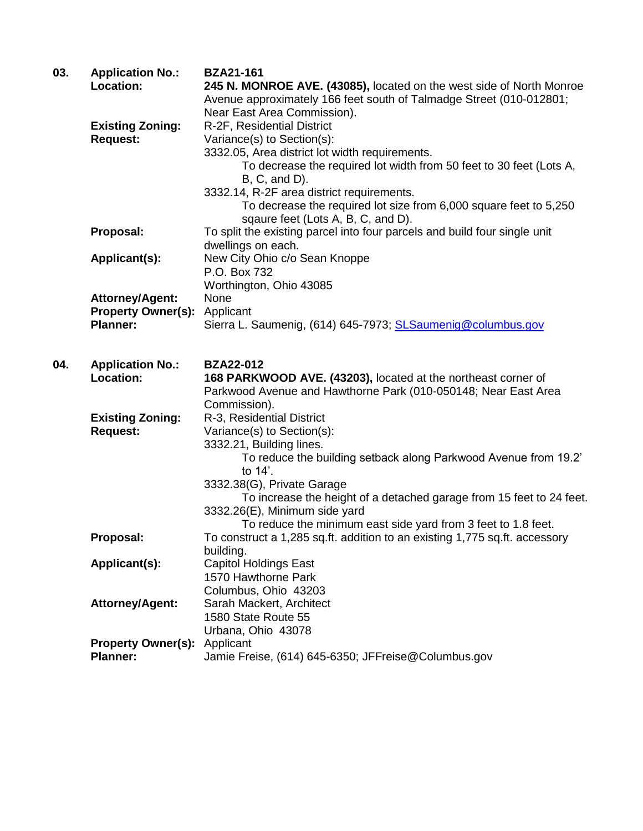| 03. | <b>Application No.:</b>   | <b>BZA21-161</b>                                                           |
|-----|---------------------------|----------------------------------------------------------------------------|
|     | <b>Location:</b>          | 245 N. MONROE AVE. (43085), located on the west side of North Monroe       |
|     |                           | Avenue approximately 166 feet south of Talmadge Street (010-012801;        |
|     |                           | Near East Area Commission).                                                |
|     | <b>Existing Zoning:</b>   | R-2F, Residential District                                                 |
|     | <b>Request:</b>           | Variance(s) to Section(s):                                                 |
|     |                           | 3332.05, Area district lot width requirements.                             |
|     |                           | To decrease the required lot width from 50 feet to 30 feet (Lots A,        |
|     |                           | $B, C, and D$ ).                                                           |
|     |                           | 3332.14, R-2F area district requirements.                                  |
|     |                           | To decrease the required lot size from 6,000 square feet to 5,250          |
|     |                           | sqaure feet (Lots A, B, C, and D).                                         |
|     | Proposal:                 | To split the existing parcel into four parcels and build four single unit  |
|     |                           | dwellings on each.                                                         |
|     | Applicant(s):             | New City Ohio c/o Sean Knoppe                                              |
|     |                           | P.O. Box 732                                                               |
|     |                           | Worthington, Ohio 43085                                                    |
|     | <b>Attorney/Agent:</b>    | None                                                                       |
|     | <b>Property Owner(s):</b> | Applicant                                                                  |
|     | <b>Planner:</b>           | Sierra L. Saumenig, (614) 645-7973; SLSaumenig@columbus.gov                |
|     |                           |                                                                            |
| 04. | <b>Application No.:</b>   | <b>BZA22-012</b>                                                           |
|     | <b>Location:</b>          | 168 PARKWOOD AVE. (43203), located at the northeast corner of              |
|     |                           | Parkwood Avenue and Hawthorne Park (010-050148; Near East Area             |
|     |                           | Commission).                                                               |
|     | <b>Existing Zoning:</b>   | R-3, Residential District                                                  |
|     | <b>Request:</b>           | Variance(s) to Section(s):                                                 |
|     |                           | 3332.21, Building lines.                                                   |
|     |                           | To reduce the building setback along Parkwood Avenue from 19.2'            |
|     |                           | to 14'.                                                                    |
|     |                           | 3332.38(G), Private Garage                                                 |
|     |                           | To increase the height of a detached garage from 15 feet to 24 feet.       |
|     |                           | 3332.26(E), Minimum side yard                                              |
|     |                           | To reduce the minimum east side yard from 3 feet to 1.8 feet.              |
|     | Proposal:                 | To construct a 1,285 sq.ft. addition to an existing 1,775 sq.ft. accessory |
|     |                           | building.                                                                  |
|     | Applicant(s):             | <b>Capitol Holdings East</b>                                               |
|     |                           | 1570 Hawthorne Park                                                        |
|     |                           | Columbus, Ohio 43203                                                       |
|     | <b>Attorney/Agent:</b>    | Sarah Mackert, Architect                                                   |
|     |                           | 1580 State Route 55                                                        |
|     |                           | Urbana, Ohio 43078                                                         |
|     | <b>Property Owner(s):</b> | Applicant                                                                  |
|     | <b>Planner:</b>           | Jamie Freise, (614) 645-6350; JFFreise@Columbus.gov                        |
|     |                           |                                                                            |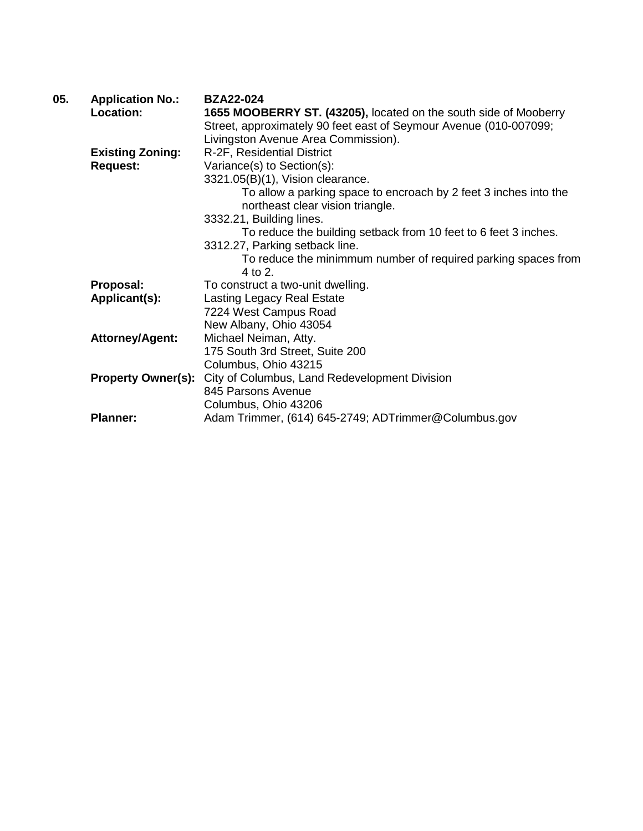| 05. | <b>Application No.:</b>   | <b>BZA22-024</b>                                                  |
|-----|---------------------------|-------------------------------------------------------------------|
|     | Location:                 | 1655 MOOBERRY ST. (43205), located on the south side of Mooberry  |
|     |                           | Street, approximately 90 feet east of Seymour Avenue (010-007099; |
|     |                           | Livingston Avenue Area Commission).                               |
|     | <b>Existing Zoning:</b>   | R-2F, Residential District                                        |
|     | <b>Request:</b>           | Variance(s) to Section(s):                                        |
|     |                           | 3321.05(B)(1), Vision clearance.                                  |
|     |                           | To allow a parking space to encroach by 2 feet 3 inches into the  |
|     |                           | northeast clear vision triangle.                                  |
|     |                           | 3332.21, Building lines.                                          |
|     |                           | To reduce the building setback from 10 feet to 6 feet 3 inches.   |
|     |                           | 3312.27, Parking setback line.                                    |
|     |                           | To reduce the minimmum number of required parking spaces from     |
|     |                           | $4$ to $2$ .                                                      |
|     | Proposal:                 | To construct a two-unit dwelling.                                 |
|     | Applicant(s):             | <b>Lasting Legacy Real Estate</b>                                 |
|     |                           | 7224 West Campus Road                                             |
|     |                           | New Albany, Ohio 43054                                            |
|     | <b>Attorney/Agent:</b>    | Michael Neiman, Atty.                                             |
|     |                           | 175 South 3rd Street, Suite 200                                   |
|     |                           | Columbus, Ohio 43215                                              |
|     | <b>Property Owner(s):</b> | City of Columbus, Land Redevelopment Division                     |
|     |                           | 845 Parsons Avenue                                                |
|     |                           | Columbus, Ohio 43206                                              |
|     | <b>Planner:</b>           | Adam Trimmer, (614) 645-2749; ADTrimmer@Columbus.gov              |
|     |                           |                                                                   |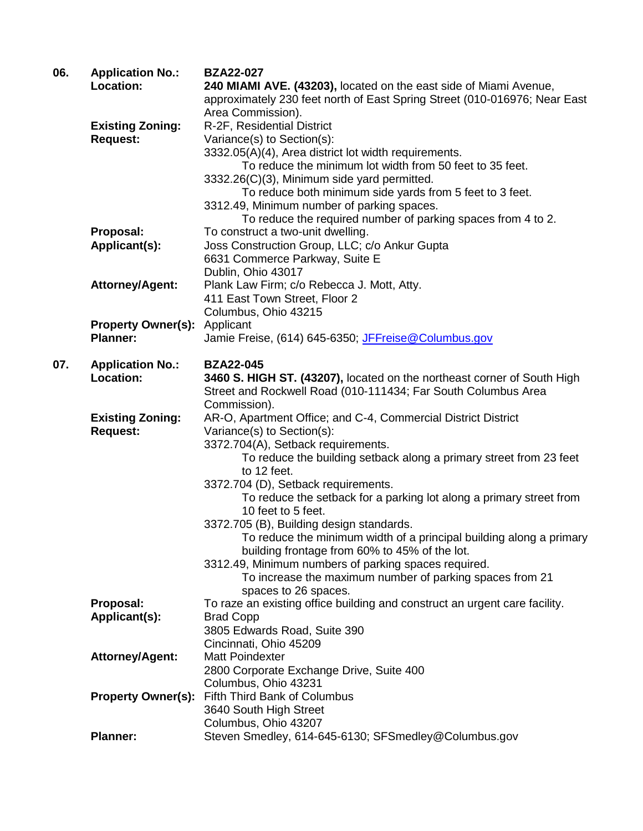| 06. | <b>Application No.:</b>   | <b>BZA22-027</b>                                                           |
|-----|---------------------------|----------------------------------------------------------------------------|
|     | Location:                 | 240 MIAMI AVE. (43203), located on the east side of Miami Avenue,          |
|     |                           | approximately 230 feet north of East Spring Street (010-016976; Near East  |
|     |                           | Area Commission).                                                          |
|     | <b>Existing Zoning:</b>   | R-2F, Residential District                                                 |
|     | <b>Request:</b>           | Variance(s) to Section(s):                                                 |
|     |                           | 3332.05(A)(4), Area district lot width requirements.                       |
|     |                           | To reduce the minimum lot width from 50 feet to 35 feet.                   |
|     |                           | 3332.26(C)(3), Minimum side yard permitted.                                |
|     |                           | To reduce both minimum side yards from 5 feet to 3 feet.                   |
|     |                           | 3312.49, Minimum number of parking spaces.                                 |
|     |                           | To reduce the required number of parking spaces from 4 to 2.               |
|     | Proposal:                 | To construct a two-unit dwelling.                                          |
|     |                           | Joss Construction Group, LLC; c/o Ankur Gupta                              |
|     | Applicant(s):             |                                                                            |
|     |                           | 6631 Commerce Parkway, Suite E                                             |
|     |                           | Dublin, Ohio 43017                                                         |
|     | <b>Attorney/Agent:</b>    | Plank Law Firm; c/o Rebecca J. Mott, Atty.                                 |
|     |                           | 411 East Town Street, Floor 2                                              |
|     |                           | Columbus, Ohio 43215                                                       |
|     | <b>Property Owner(s):</b> | Applicant                                                                  |
|     | <b>Planner:</b>           | Jamie Freise, (614) 645-6350; JFFreise@Columbus.gov                        |
| 07. | <b>Application No.:</b>   | <b>BZA22-045</b>                                                           |
|     | Location:                 | 3460 S. HIGH ST. (43207), located on the northeast corner of South High    |
|     |                           | Street and Rockwell Road (010-111434; Far South Columbus Area              |
|     |                           |                                                                            |
|     |                           | Commission).                                                               |
|     | <b>Existing Zoning:</b>   | AR-O, Apartment Office; and C-4, Commercial District District              |
|     | <b>Request:</b>           | Variance(s) to Section(s):                                                 |
|     |                           | 3372.704(A), Setback requirements.                                         |
|     |                           | To reduce the building setback along a primary street from 23 feet         |
|     |                           | to 12 feet.                                                                |
|     |                           | 3372.704 (D), Setback requirements.                                        |
|     |                           | To reduce the setback for a parking lot along a primary street from        |
|     |                           | 10 feet to 5 feet.                                                         |
|     |                           | 3372.705 (B), Building design standards.                                   |
|     |                           | To reduce the minimum width of a principal building along a primary        |
|     |                           | building frontage from 60% to 45% of the lot.                              |
|     |                           | 3312.49, Minimum numbers of parking spaces required.                       |
|     |                           | To increase the maximum number of parking spaces from 21                   |
|     |                           | spaces to 26 spaces.                                                       |
|     | Proposal:                 | To raze an existing office building and construct an urgent care facility. |
|     | Applicant(s):             | <b>Brad Copp</b>                                                           |
|     |                           | 3805 Edwards Road, Suite 390                                               |
|     |                           | Cincinnati, Ohio 45209                                                     |
|     | <b>Attorney/Agent:</b>    | <b>Matt Poindexter</b>                                                     |
|     |                           | 2800 Corporate Exchange Drive, Suite 400                                   |
|     |                           | Columbus, Ohio 43231                                                       |
|     | <b>Property Owner(s):</b> | Fifth Third Bank of Columbus                                               |
|     |                           | 3640 South High Street                                                     |
|     |                           | Columbus, Ohio 43207                                                       |
|     | <b>Planner:</b>           | Steven Smedley, 614-645-6130; SFSmedley@Columbus.gov                       |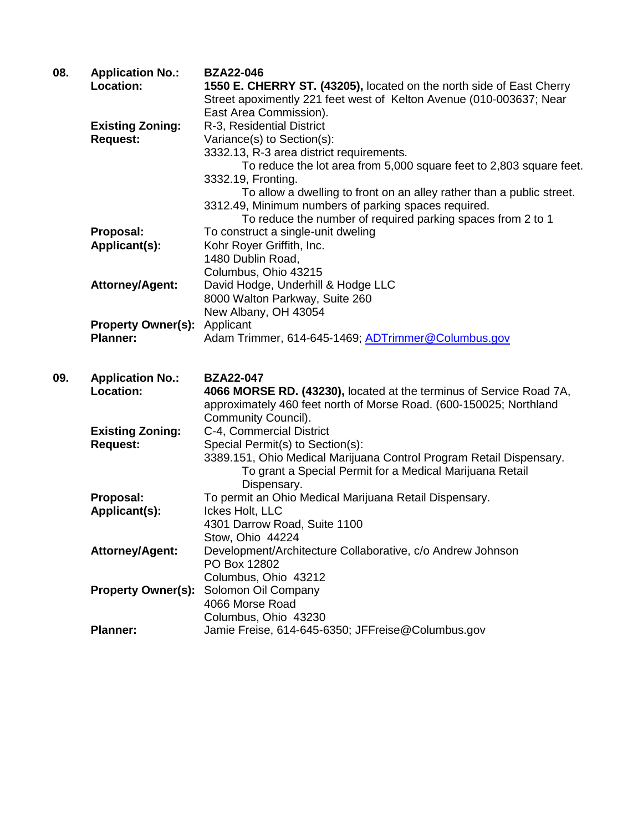| 08. | <b>Application No.:</b>   | <b>BZA22-046</b>                                                          |
|-----|---------------------------|---------------------------------------------------------------------------|
|     | Location:                 | 1550 E. CHERRY ST. (43205), located on the north side of East Cherry      |
|     |                           | Street apoximently 221 feet west of Kelton Avenue (010-003637; Near       |
|     |                           | East Area Commission).                                                    |
|     | <b>Existing Zoning:</b>   | R-3, Residential District                                                 |
|     | <b>Request:</b>           | Variance(s) to Section(s):                                                |
|     |                           | 3332.13, R-3 area district requirements.                                  |
|     |                           | To reduce the lot area from 5,000 square feet to 2,803 square feet.       |
|     |                           | 3332.19, Fronting.                                                        |
|     |                           | To allow a dwelling to front on an alley rather than a public street.     |
|     |                           | 3312.49, Minimum numbers of parking spaces required.                      |
|     |                           | To reduce the number of required parking spaces from 2 to 1               |
|     | Proposal:                 | To construct a single-unit dweling                                        |
|     | Applicant(s):             | Kohr Royer Griffith, Inc.                                                 |
|     |                           | 1480 Dublin Road,                                                         |
|     |                           | Columbus, Ohio 43215                                                      |
|     | <b>Attorney/Agent:</b>    | David Hodge, Underhill & Hodge LLC                                        |
|     |                           | 8000 Walton Parkway, Suite 260                                            |
|     |                           | New Albany, OH 43054                                                      |
|     | <b>Property Owner(s):</b> | Applicant                                                                 |
|     | <b>Planner:</b>           | Adam Trimmer, 614-645-1469, ADTrimmer@Columbus.gov                        |
|     |                           |                                                                           |
|     |                           |                                                                           |
|     |                           |                                                                           |
| 09. | <b>Application No.:</b>   | <b>BZA22-047</b>                                                          |
|     | Location:                 | 4066 MORSE RD. (43230), located at the terminus of Service Road 7A,       |
|     |                           | approximately 460 feet north of Morse Road. (600-150025; Northland        |
|     |                           | Community Council).                                                       |
|     | <b>Existing Zoning:</b>   | C-4, Commercial District                                                  |
|     | <b>Request:</b>           | Special Permit(s) to Section(s):                                          |
|     |                           | 3389.151, Ohio Medical Marijuana Control Program Retail Dispensary.       |
|     |                           | To grant a Special Permit for a Medical Marijuana Retail                  |
|     |                           | Dispensary.                                                               |
|     | Proposal:                 | To permit an Ohio Medical Marijuana Retail Dispensary.                    |
|     | Applicant(s):             | Ickes Holt, LLC                                                           |
|     |                           | 4301 Darrow Road, Suite 1100                                              |
|     |                           | Stow, Ohio 44224                                                          |
|     | <b>Attorney/Agent:</b>    | Development/Architecture Collaborative, c/o Andrew Johnson                |
|     |                           | PO Box 12802                                                              |
|     |                           | Columbus, Ohio 43212                                                      |
|     | <b>Property Owner(s):</b> | Solomon Oil Company                                                       |
|     |                           | 4066 Morse Road                                                           |
|     | <b>Planner:</b>           | Columbus, Ohio 43230<br>Jamie Freise, 614-645-6350; JFFreise@Columbus.gov |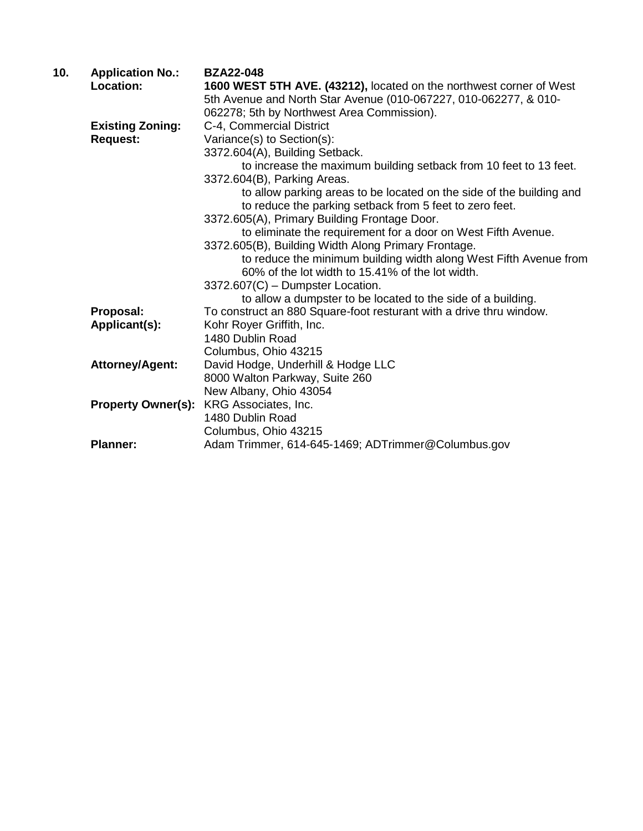| 10. | <b>Application No.:</b>   | <b>BZA22-048</b>                                                     |
|-----|---------------------------|----------------------------------------------------------------------|
|     | Location:                 | 1600 WEST 5TH AVE. (43212), located on the northwest corner of West  |
|     |                           | 5th Avenue and North Star Avenue (010-067227, 010-062277, & 010-     |
|     |                           | 062278; 5th by Northwest Area Commission).                           |
|     | <b>Existing Zoning:</b>   | C-4, Commercial District                                             |
|     | <b>Request:</b>           | Variance(s) to Section(s):                                           |
|     |                           | 3372.604(A), Building Setback.                                       |
|     |                           | to increase the maximum building setback from 10 feet to 13 feet.    |
|     |                           | 3372.604(B), Parking Areas.                                          |
|     |                           | to allow parking areas to be located on the side of the building and |
|     |                           | to reduce the parking setback from 5 feet to zero feet.              |
|     |                           | 3372.605(A), Primary Building Frontage Door.                         |
|     |                           | to eliminate the requirement for a door on West Fifth Avenue.        |
|     |                           | 3372.605(B), Building Width Along Primary Frontage.                  |
|     |                           | to reduce the minimum building width along West Fifth Avenue from    |
|     |                           | 60% of the lot width to 15.41% of the lot width.                     |
|     |                           | 3372.607(C) - Dumpster Location.                                     |
|     |                           | to allow a dumpster to be located to the side of a building.         |
|     | Proposal:                 | To construct an 880 Square-foot resturant with a drive thru window.  |
|     | Applicant(s):             | Kohr Royer Griffith, Inc.                                            |
|     |                           | 1480 Dublin Road                                                     |
|     |                           | Columbus, Ohio 43215                                                 |
|     | <b>Attorney/Agent:</b>    | David Hodge, Underhill & Hodge LLC                                   |
|     |                           | 8000 Walton Parkway, Suite 260                                       |
|     |                           | New Albany, Ohio 43054                                               |
|     | <b>Property Owner(s):</b> | KRG Associates, Inc.                                                 |
|     |                           | 1480 Dublin Road                                                     |
|     |                           | Columbus, Ohio 43215                                                 |
|     | <b>Planner:</b>           | Adam Trimmer, 614-645-1469; ADTrimmer@Columbus.gov                   |
|     |                           |                                                                      |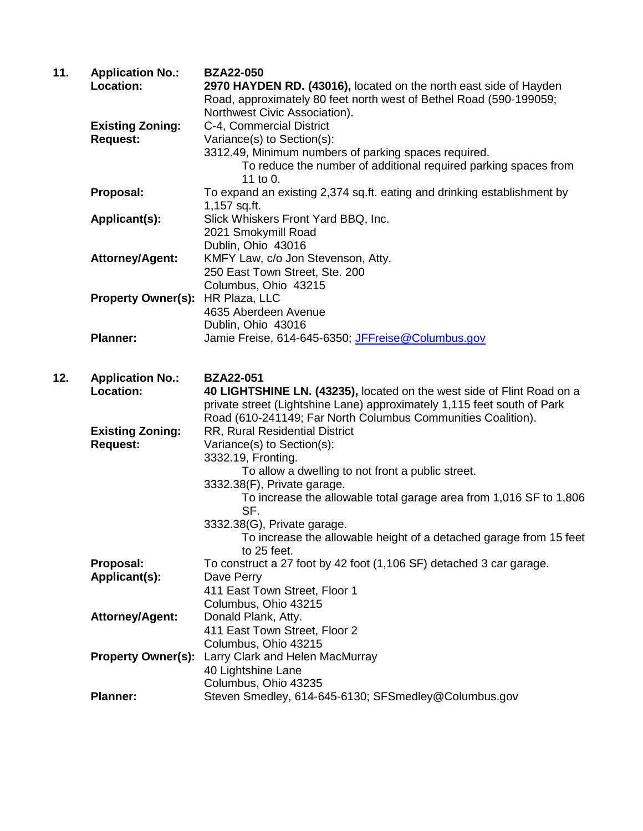| 11. | <b>Application No.:</b><br>Location: | <b>BZA22-050</b><br>2970 HAYDEN RD. (43016), located on the north east side of Hayden             |
|-----|--------------------------------------|---------------------------------------------------------------------------------------------------|
|     |                                      | Road, approximately 80 feet north west of Bethel Road (590-199059;                                |
|     |                                      | Northwest Civic Association).                                                                     |
|     | <b>Existing Zoning:</b>              | C-4, Commercial District                                                                          |
|     | <b>Request:</b>                      | Variance(s) to Section(s):                                                                        |
|     |                                      | 3312.49, Minimum numbers of parking spaces required.                                              |
|     |                                      | To reduce the number of additional required parking spaces from<br>11 to $0.$                     |
|     | Proposal:                            | To expand an existing 2,374 sq.ft. eating and drinking establishment by                           |
|     |                                      | 1,157 sq.ft.                                                                                      |
|     | Applicant(s):                        | Slick Whiskers Front Yard BBQ, Inc.                                                               |
|     |                                      | 2021 Smokymill Road                                                                               |
|     |                                      | Dublin, Ohio 43016                                                                                |
|     | <b>Attorney/Agent:</b>               | KMFY Law, c/o Jon Stevenson, Atty.                                                                |
|     |                                      | 250 East Town Street, Ste. 200                                                                    |
|     |                                      | Columbus, Ohio 43215                                                                              |
|     | <b>Property Owner(s):</b>            | HR Plaza, LLC                                                                                     |
|     |                                      | 4635 Aberdeen Avenue                                                                              |
|     | <b>Planner:</b>                      | Dublin, Ohio 43016                                                                                |
|     |                                      | Jamie Freise, 614-645-6350; JFFreise@Columbus.gov                                                 |
| 12. | <b>Application No.:</b>              | <b>BZA22-051</b>                                                                                  |
|     | Location:                            | 40 LIGHTSHINE LN. (43235), located on the west side of Flint Road on a                            |
|     |                                      | private street (Lightshine Lane) approximately 1,115 feet south of Park                           |
|     |                                      | Road (610-241149; Far North Columbus Communities Coalition).                                      |
|     | <b>Existing Zoning:</b>              | RR, Rural Residential District                                                                    |
|     | <b>Request:</b>                      | Variance(s) to Section(s):                                                                        |
|     |                                      | 3332.19, Fronting.                                                                                |
|     |                                      | To allow a dwelling to not front a public street.                                                 |
|     |                                      | 3332.38(F), Private garage.<br>To increase the allowable total garage area from 1,016 SF to 1,806 |
|     |                                      | SF.                                                                                               |
|     |                                      | 3332.38(G), Private garage.                                                                       |
|     |                                      | To increase the allowable height of a detached garage from 15 feet<br>to 25 feet.                 |
|     | Proposal:                            | To construct a 27 foot by 42 foot (1,106 SF) detached 3 car garage.                               |
|     | Applicant(s):                        | Dave Perry                                                                                        |
|     |                                      | 411 East Town Street, Floor 1                                                                     |
|     |                                      | Columbus, Ohio 43215                                                                              |
|     | <b>Attorney/Agent:</b>               | Donald Plank, Atty.                                                                               |
|     |                                      | 411 East Town Street, Floor 2                                                                     |
|     |                                      | Columbus, Ohio 43215                                                                              |
|     | <b>Property Owner(s):</b>            | Larry Clark and Helen MacMurray                                                                   |
|     |                                      | 40 Lightshine Lane                                                                                |
|     |                                      | Columbus, Ohio 43235                                                                              |
|     | <b>Planner:</b>                      | Steven Smedley, 614-645-6130; SFSmedley@Columbus.gov                                              |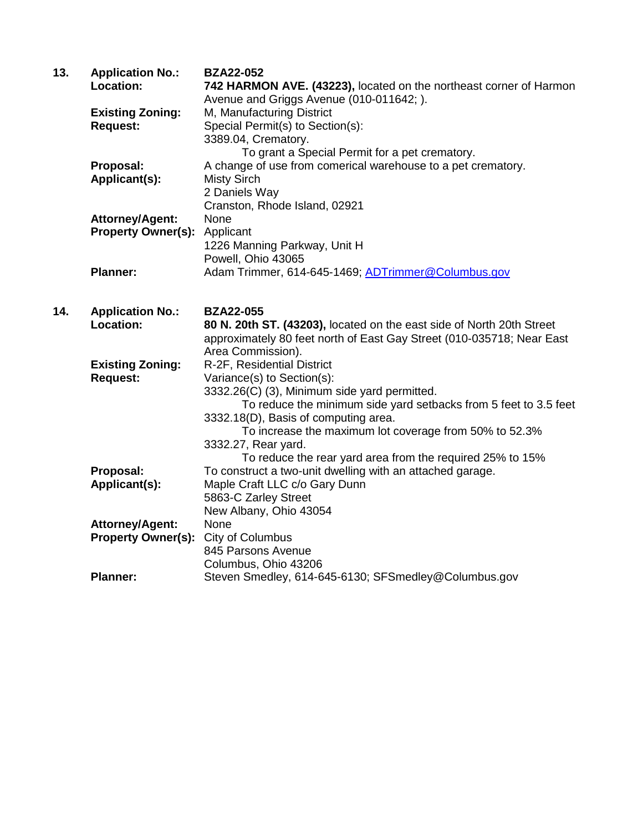| 13. | <b>Application No.:</b>   | <b>BZA22-052</b>                                                             |
|-----|---------------------------|------------------------------------------------------------------------------|
|     | Location:                 | 742 HARMON AVE. (43223), located on the northeast corner of Harmon           |
|     |                           | Avenue and Griggs Avenue (010-011642; ).                                     |
|     | <b>Existing Zoning:</b>   | M, Manufacturing District                                                    |
|     | <b>Request:</b>           | Special Permit(s) to Section(s):                                             |
|     |                           | 3389.04, Crematory.                                                          |
|     |                           | To grant a Special Permit for a pet crematory.                               |
|     | Proposal:                 | A change of use from comerical warehouse to a pet crematory.                 |
|     | Applicant(s):             | <b>Misty Sirch</b>                                                           |
|     |                           | 2 Daniels Way                                                                |
|     |                           | Cranston, Rhode Island, 02921                                                |
|     | <b>Attorney/Agent:</b>    | None                                                                         |
|     | <b>Property Owner(s):</b> | Applicant                                                                    |
|     |                           | 1226 Manning Parkway, Unit H                                                 |
|     |                           | Powell, Ohio 43065                                                           |
|     | <b>Planner:</b>           | Adam Trimmer, 614-645-1469; ADTrimmer@Columbus.gov                           |
|     |                           |                                                                              |
|     |                           |                                                                              |
| 14. | <b>Application No.:</b>   | <b>BZA22-055</b>                                                             |
|     | Location:                 |                                                                              |
|     |                           | 80 N. 20th ST. (43203), located on the east side of North 20th Street        |
|     |                           | approximately 80 feet north of East Gay Street (010-035718; Near East        |
|     |                           | Area Commission).                                                            |
|     | <b>Existing Zoning:</b>   | R-2F, Residential District                                                   |
|     | <b>Request:</b>           | Variance(s) to Section(s):                                                   |
|     |                           | 3332.26(C) (3), Minimum side yard permitted.                                 |
|     |                           | To reduce the minimum side yard setbacks from 5 feet to 3.5 feet             |
|     |                           | 3332.18(D), Basis of computing area.                                         |
|     |                           | To increase the maximum lot coverage from 50% to 52.3%                       |
|     |                           | 3332.27, Rear yard.                                                          |
|     |                           | To reduce the rear yard area from the required 25% to 15%                    |
|     | Proposal:                 | To construct a two-unit dwelling with an attached garage.                    |
|     | Applicant(s):             | Maple Craft LLC c/o Gary Dunn                                                |
|     |                           | 5863-C Zarley Street                                                         |
|     |                           | New Albany, Ohio 43054                                                       |
|     | <b>Attorney/Agent:</b>    | None                                                                         |
|     | <b>Property Owner(s):</b> | City of Columbus                                                             |
|     |                           | 845 Parsons Avenue                                                           |
|     | <b>Planner:</b>           | Columbus, Ohio 43206<br>Steven Smedley, 614-645-6130; SFSmedley@Columbus.gov |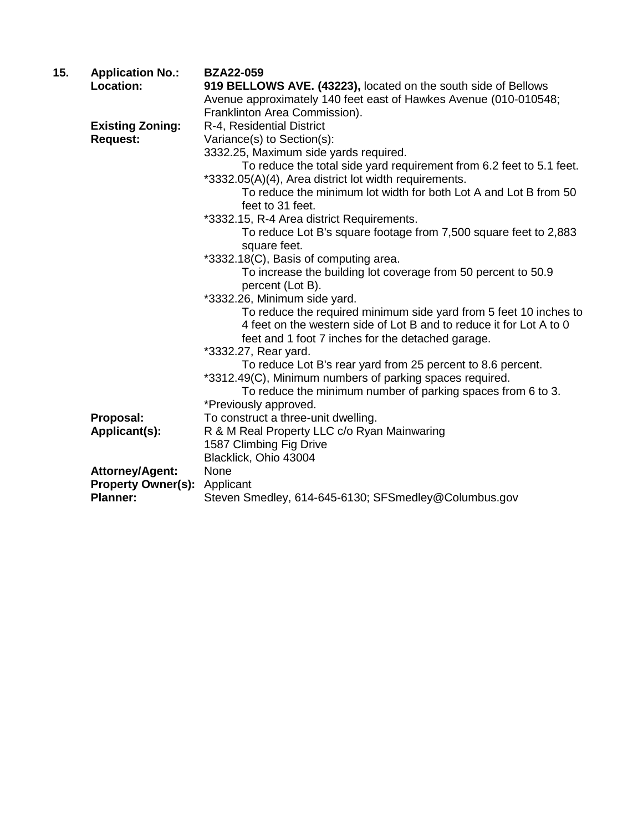| 15. | <b>Application No.:</b>   | <b>BZA22-059</b>                                                     |
|-----|---------------------------|----------------------------------------------------------------------|
|     | Location:                 | 919 BELLOWS AVE. (43223), located on the south side of Bellows       |
|     |                           | Avenue approximately 140 feet east of Hawkes Avenue (010-010548;     |
|     |                           | Franklinton Area Commission).                                        |
|     | <b>Existing Zoning:</b>   | R-4, Residential District                                            |
|     | <b>Request:</b>           | Variance(s) to Section(s):                                           |
|     |                           | 3332.25, Maximum side yards required.                                |
|     |                           | To reduce the total side yard requirement from 6.2 feet to 5.1 feet. |
|     |                           | *3332.05(A)(4), Area district lot width requirements.                |
|     |                           | To reduce the minimum lot width for both Lot A and Lot B from 50     |
|     |                           | feet to 31 feet.                                                     |
|     |                           | *3332.15, R-4 Area district Requirements.                            |
|     |                           | To reduce Lot B's square footage from 7,500 square feet to 2,883     |
|     |                           | square feet.                                                         |
|     |                           | *3332.18(C), Basis of computing area.                                |
|     |                           | To increase the building lot coverage from 50 percent to 50.9        |
|     |                           | percent (Lot B).                                                     |
|     |                           | *3332.26, Minimum side yard.                                         |
|     |                           | To reduce the required minimum side yard from 5 feet 10 inches to    |
|     |                           | 4 feet on the western side of Lot B and to reduce it for Lot A to 0  |
|     |                           | feet and 1 foot 7 inches for the detached garage.                    |
|     |                           | *3332.27, Rear yard.                                                 |
|     |                           | To reduce Lot B's rear yard from 25 percent to 8.6 percent.          |
|     |                           | *3312.49(C), Minimum numbers of parking spaces required.             |
|     |                           | To reduce the minimum number of parking spaces from 6 to 3.          |
|     |                           | *Previously approved.                                                |
|     | Proposal:                 | To construct a three-unit dwelling.                                  |
|     | Applicant(s):             | R & M Real Property LLC c/o Ryan Mainwaring                          |
|     |                           | 1587 Climbing Fig Drive                                              |
|     |                           | Blacklick, Ohio 43004                                                |
|     | <b>Attorney/Agent:</b>    | None                                                                 |
|     | <b>Property Owner(s):</b> | Applicant                                                            |
|     | <b>Planner:</b>           | Steven Smedley, 614-645-6130; SFSmedley@Columbus.gov                 |
|     |                           |                                                                      |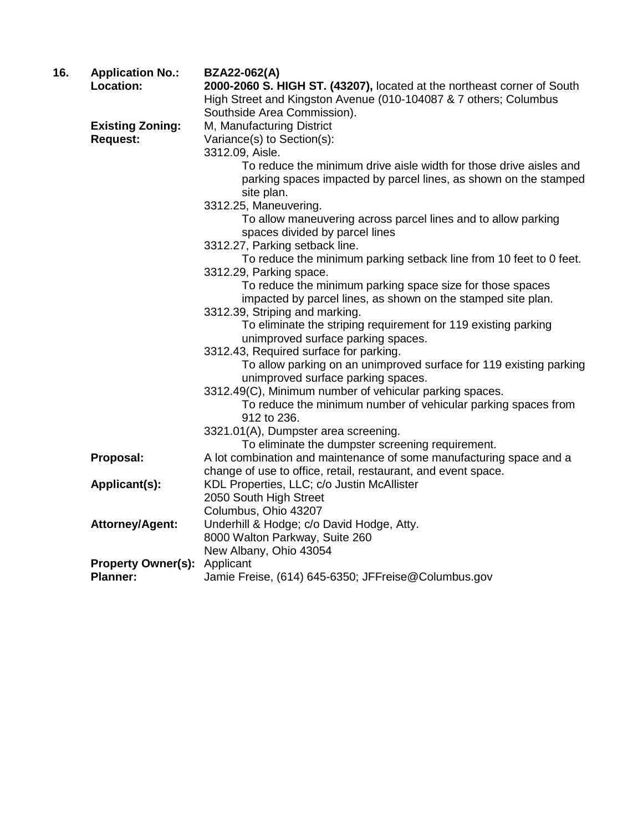| 16. | <b>Application No.:</b>   | <b>BZA22-062(A)</b>                                                     |
|-----|---------------------------|-------------------------------------------------------------------------|
|     | Location:                 | 2000-2060 S. HIGH ST. (43207), located at the northeast corner of South |
|     |                           | High Street and Kingston Avenue (010-104087 & 7 others; Columbus        |
|     |                           | Southside Area Commission).                                             |
|     | <b>Existing Zoning:</b>   | M, Manufacturing District                                               |
|     | <b>Request:</b>           | Variance(s) to Section(s):                                              |
|     |                           | 3312.09, Aisle.                                                         |
|     |                           | To reduce the minimum drive aisle width for those drive aisles and      |
|     |                           | parking spaces impacted by parcel lines, as shown on the stamped        |
|     |                           | site plan.                                                              |
|     |                           | 3312.25, Maneuvering.                                                   |
|     |                           | To allow maneuvering across parcel lines and to allow parking           |
|     |                           | spaces divided by parcel lines                                          |
|     |                           | 3312.27, Parking setback line.                                          |
|     |                           | To reduce the minimum parking setback line from 10 feet to 0 feet.      |
|     |                           | 3312.29, Parking space.                                                 |
|     |                           | To reduce the minimum parking space size for those spaces               |
|     |                           | impacted by parcel lines, as shown on the stamped site plan.            |
|     |                           | 3312.39, Striping and marking.                                          |
|     |                           | To eliminate the striping requirement for 119 existing parking          |
|     |                           | unimproved surface parking spaces.                                      |
|     |                           | 3312.43, Required surface for parking.                                  |
|     |                           | To allow parking on an unimproved surface for 119 existing parking      |
|     |                           | unimproved surface parking spaces.                                      |
|     |                           | 3312.49(C), Minimum number of vehicular parking spaces.                 |
|     |                           | To reduce the minimum number of vehicular parking spaces from           |
|     |                           | 912 to 236.                                                             |
|     |                           | 3321.01(A), Dumpster area screening.                                    |
|     |                           | To eliminate the dumpster screening requirement.                        |
|     | Proposal:                 | A lot combination and maintenance of some manufacturing space and a     |
|     |                           | change of use to office, retail, restaurant, and event space.           |
|     | Applicant(s):             | KDL Properties, LLC; c/o Justin McAllister                              |
|     |                           | 2050 South High Street                                                  |
|     |                           | Columbus, Ohio 43207                                                    |
|     | <b>Attorney/Agent:</b>    | Underhill & Hodge; c/o David Hodge, Atty.                               |
|     |                           | 8000 Walton Parkway, Suite 260                                          |
|     | <b>Property Owner(s):</b> | New Albany, Ohio 43054                                                  |
|     | <b>Planner:</b>           | Applicant<br>Jamie Freise, (614) 645-6350; JFFreise@Columbus.gov        |
|     |                           |                                                                         |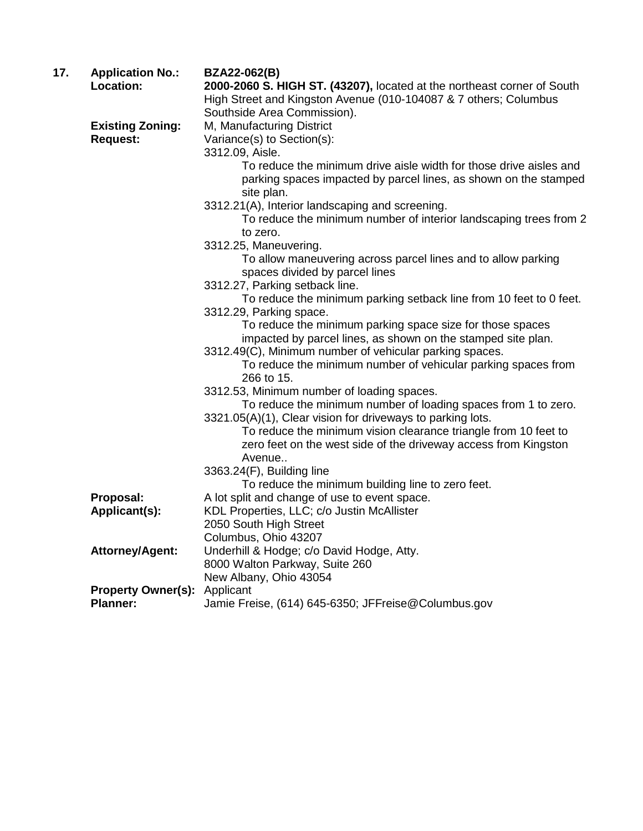| 17. | <b>Application No.:</b>   | <b>BZA22-062(B)</b>                                                                                                                                  |
|-----|---------------------------|------------------------------------------------------------------------------------------------------------------------------------------------------|
|     | Location:                 | 2000-2060 S. HIGH ST. (43207), located at the northeast corner of South                                                                              |
|     |                           | High Street and Kingston Avenue (010-104087 & 7 others; Columbus                                                                                     |
|     |                           | Southside Area Commission).                                                                                                                          |
|     | <b>Existing Zoning:</b>   | M, Manufacturing District                                                                                                                            |
|     | <b>Request:</b>           | Variance(s) to Section(s):                                                                                                                           |
|     |                           | 3312.09, Aisle.                                                                                                                                      |
|     |                           | To reduce the minimum drive aisle width for those drive aisles and<br>parking spaces impacted by parcel lines, as shown on the stamped<br>site plan. |
|     |                           | 3312.21(A), Interior landscaping and screening.                                                                                                      |
|     |                           | To reduce the minimum number of interior landscaping trees from 2<br>to zero.                                                                        |
|     |                           | 3312.25, Maneuvering.                                                                                                                                |
|     |                           | To allow maneuvering across parcel lines and to allow parking                                                                                        |
|     |                           | spaces divided by parcel lines                                                                                                                       |
|     |                           | 3312.27, Parking setback line.                                                                                                                       |
|     |                           | To reduce the minimum parking setback line from 10 feet to 0 feet.                                                                                   |
|     |                           | 3312.29, Parking space.                                                                                                                              |
|     |                           | To reduce the minimum parking space size for those spaces                                                                                            |
|     |                           | impacted by parcel lines, as shown on the stamped site plan.                                                                                         |
|     |                           | 3312.49(C), Minimum number of vehicular parking spaces.                                                                                              |
|     |                           | To reduce the minimum number of vehicular parking spaces from<br>266 to 15.                                                                          |
|     |                           | 3312.53, Minimum number of loading spaces.                                                                                                           |
|     |                           | To reduce the minimum number of loading spaces from 1 to zero.                                                                                       |
|     |                           | 3321.05(A)(1), Clear vision for driveways to parking lots.                                                                                           |
|     |                           | To reduce the minimum vision clearance triangle from 10 feet to<br>zero feet on the west side of the driveway access from Kingston<br>Avenue         |
|     |                           | 3363.24(F), Building line                                                                                                                            |
|     |                           | To reduce the minimum building line to zero feet.                                                                                                    |
|     | Proposal:                 | A lot split and change of use to event space.                                                                                                        |
|     | Applicant(s):             | KDL Properties, LLC; c/o Justin McAllister                                                                                                           |
|     |                           | 2050 South High Street                                                                                                                               |
|     |                           | Columbus, Ohio 43207                                                                                                                                 |
|     | <b>Attorney/Agent:</b>    | Underhill & Hodge; c/o David Hodge, Atty.                                                                                                            |
|     |                           | 8000 Walton Parkway, Suite 260                                                                                                                       |
|     |                           | New Albany, Ohio 43054                                                                                                                               |
|     | <b>Property Owner(s):</b> | Applicant                                                                                                                                            |
|     | <b>Planner:</b>           | Jamie Freise, (614) 645-6350; JFFreise@Columbus.gov                                                                                                  |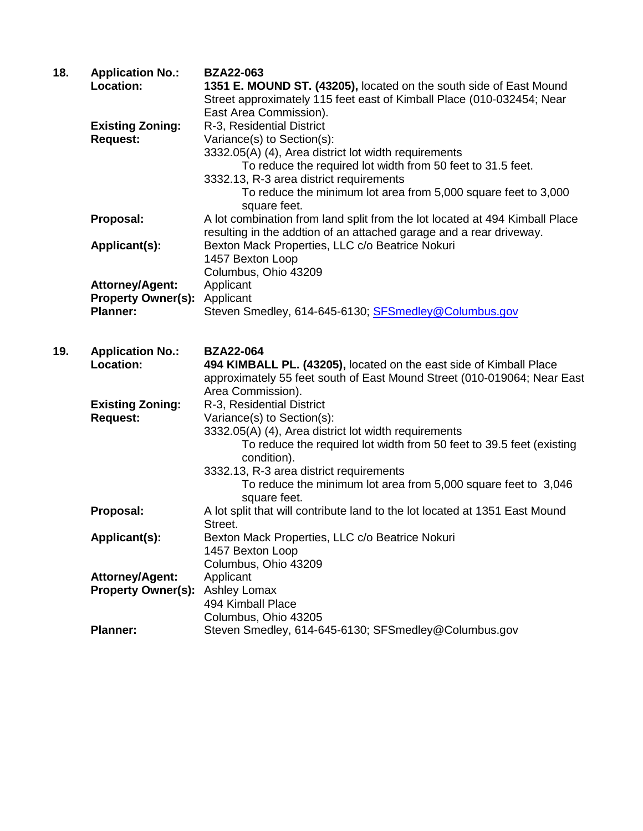| 18. | <b>Application No.:</b>   | <b>BZA22-063</b>                                                            |
|-----|---------------------------|-----------------------------------------------------------------------------|
|     | Location:                 | 1351 E. MOUND ST. (43205), located on the south side of East Mound          |
|     |                           | Street approximately 115 feet east of Kimball Place (010-032454; Near       |
|     |                           | East Area Commission).                                                      |
|     | <b>Existing Zoning:</b>   | R-3, Residential District                                                   |
|     | <b>Request:</b>           | Variance(s) to Section(s):                                                  |
|     |                           | 3332.05(A) (4), Area district lot width requirements                        |
|     |                           | To reduce the required lot width from 50 feet to 31.5 feet.                 |
|     |                           | 3332.13, R-3 area district requirements                                     |
|     |                           | To reduce the minimum lot area from 5,000 square feet to 3,000              |
|     |                           | square feet.                                                                |
|     | Proposal:                 | A lot combination from land split from the lot located at 494 Kimball Place |
|     |                           | resulting in the addtion of an attached garage and a rear driveway.         |
|     | Applicant(s):             | Bexton Mack Properties, LLC c/o Beatrice Nokuri                             |
|     |                           | 1457 Bexton Loop                                                            |
|     |                           | Columbus, Ohio 43209                                                        |
|     | <b>Attorney/Agent:</b>    | Applicant                                                                   |
|     | <b>Property Owner(s):</b> | Applicant                                                                   |
|     | <b>Planner:</b>           | Steven Smedley, 614-645-6130; SFSmedley@Columbus.gov                        |
|     |                           |                                                                             |
|     |                           |                                                                             |
| 19. | <b>Application No.:</b>   | <b>BZA22-064</b>                                                            |
|     | Location:                 | 494 KIMBALL PL. (43205), located on the east side of Kimball Place          |
|     |                           | approximately 55 feet south of East Mound Street (010-019064; Near East     |
|     |                           | Area Commission).                                                           |
|     | <b>Existing Zoning:</b>   | R-3, Residential District                                                   |
|     | <b>Request:</b>           | Variance(s) to Section(s):                                                  |
|     |                           | 3332.05(A) (4), Area district lot width requirements                        |
|     |                           | To reduce the required lot width from 50 feet to 39.5 feet (existing        |
|     |                           | condition).                                                                 |
|     |                           | 3332.13, R-3 area district requirements                                     |
|     |                           | To reduce the minimum lot area from 5,000 square feet to 3,046              |
|     |                           | square feet.                                                                |
|     | Proposal:                 | A lot split that will contribute land to the lot located at 1351 East Mound |
|     |                           | Street.                                                                     |
|     | Applicant(s):             | Bexton Mack Properties, LLC c/o Beatrice Nokuri                             |
|     |                           | 1457 Bexton Loop                                                            |
|     |                           | Columbus, Ohio 43209                                                        |
|     | <b>Attorney/Agent:</b>    | Applicant                                                                   |
|     | <b>Property Owner(s):</b> | Ashley Lomax                                                                |
|     |                           | 494 Kimball Place                                                           |
|     |                           | Columbus, Ohio 43205                                                        |
|     | <b>Planner:</b>           | Steven Smedley, 614-645-6130; SFSmedley@Columbus.gov                        |